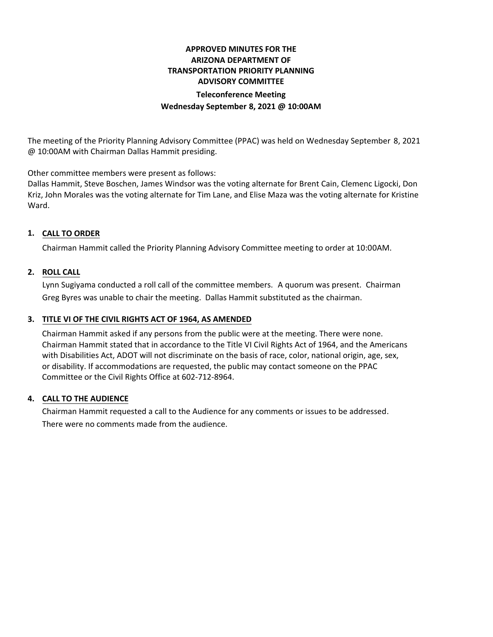# **APPROVED MINUTES FOR THE ARIZONA DEPARTMENT OF TRANSPORTATION PRIORITY PLANNING ADVISORY COMMITTEE Teleconference Meeting Wednesday September 8, 2021 @ 10:00AM**

The meeting of the Priority Planning Advisory Committee (PPAC) was held on Wednesday September 8, 2021 @ 10:00AM with Chairman Dallas Hammit presiding.

Other committee members were present as follows:

Dallas Hammit, Steve Boschen, James Windsor was the voting alternate for Brent Cain, Clemenc Ligocki, Don Kriz, John Morales was the voting alternate for Tim Lane, and Elise Maza was the voting alternate for Kristine Ward.

# **CALL TO ORDER 1.**

Chairman Hammit called the Priority Planning Advisory Committee meeting to order at 10:00AM.

### **ROLL CALL 2.**

Lynn Sugiyama conducted a roll call of the committee members. A quorum was present. Chairman Greg Byres was unable to chair the meeting. Dallas Hammit substituted as the chairman.

## **TITLE VI OF THE CIVIL RIGHTS ACT OF 1964, AS AMENDED 3.**

Chairman Hammit asked if any persons from the public were at the meeting. There were none. Chairman Hammit stated that in accordance to the Title VI Civil Rights Act of 1964, and the Americans with Disabilities Act, ADOT will not discriminate on the basis of race, color, national origin, age, sex, or disability. If accommodations are requested, the public may contact someone on the PPAC Committee or the Civil Rights Office at 602-712-8964.

### **CALL TO THE AUDIENCE 4.**

Chairman Hammit requested a call to the Audience for any comments or issues to be addressed. There were no comments made from the audience.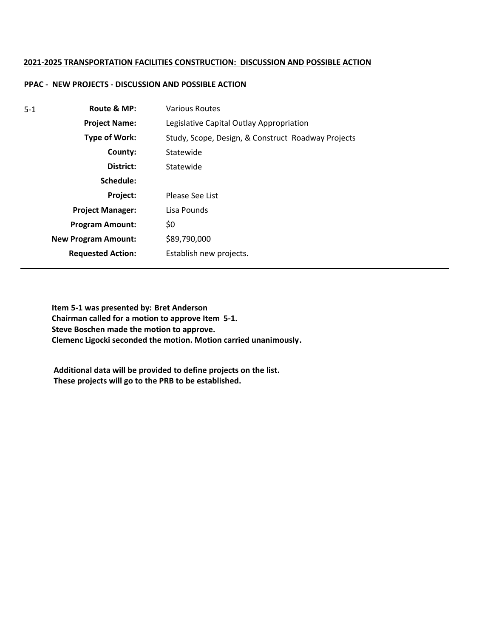### **2021-2025 TRANSPORTATION FACILITIES CONSTRUCTION: DISCUSSION AND POSSIBLE ACTION**

## **PPAC - NEW PROJECTS - DISCUSSION AND POSSIBLE ACTION**

| $5-1$ | Route & MP:                | <b>Various Routes</b>                              |
|-------|----------------------------|----------------------------------------------------|
|       | <b>Project Name:</b>       | Legislative Capital Outlay Appropriation           |
|       | Type of Work:              | Study, Scope, Design, & Construct Roadway Projects |
|       | County:                    | Statewide                                          |
|       | District:                  | Statewide                                          |
|       | Schedule:                  |                                                    |
|       | <b>Project:</b>            | Please See List                                    |
|       | <b>Project Manager:</b>    | Lisa Pounds                                        |
|       | <b>Program Amount:</b>     | \$0                                                |
|       | <b>New Program Amount:</b> | \$89,790,000                                       |
|       | <b>Requested Action:</b>   | Establish new projects.                            |

**Item 5-1 was presented by: Bret Anderson Chairman called for a motion to approve Item 5-1. Steve Boschen made the motion to approve. Clemenc Ligocki seconded the motion. Motion carried unanimously.**

**Additional data will be provided to define projects on the list. These projects will go to the PRB to be established.**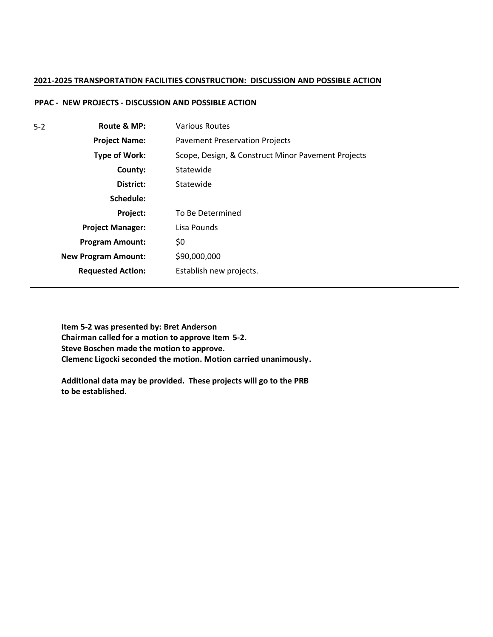#### **2021-2025 TRANSPORTATION FACILITIES CONSTRUCTION: DISCUSSION AND POSSIBLE ACTION**

### **PPAC - NEW PROJECTS - DISCUSSION AND POSSIBLE ACTION**

| $5 - 2$ | Route & MP:                | <b>Various Routes</b>                              |
|---------|----------------------------|----------------------------------------------------|
|         | <b>Project Name:</b>       | <b>Pavement Preservation Projects</b>              |
|         | <b>Type of Work:</b>       | Scope, Design, & Construct Minor Pavement Projects |
|         | County:                    | Statewide                                          |
|         | District:                  | Statewide                                          |
|         | Schedule:                  |                                                    |
|         | Project:                   | To Be Determined                                   |
|         | <b>Project Manager:</b>    | Lisa Pounds                                        |
|         | <b>Program Amount:</b>     | \$0                                                |
|         | <b>New Program Amount:</b> | \$90,000,000                                       |
|         | <b>Requested Action:</b>   | Establish new projects.                            |

**Item 5-2 was presented by: Bret Anderson Chairman called for a motion to approve Item 5-2. Steve Boschen made the motion to approve. Clemenc Ligocki seconded the motion. Motion carried unanimously.**

**Additional data may be provided. These projects will go to the PRB to be established.**